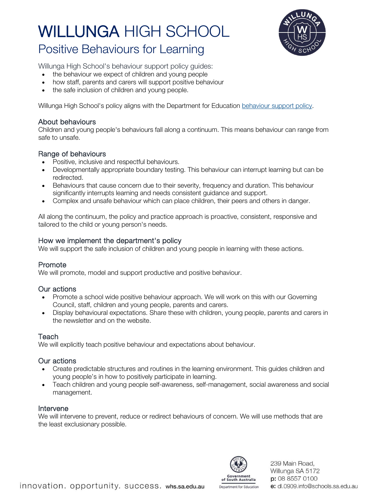

# Positive Behaviours for Learning

Willunga High School's behaviour support policy guides:

- the behaviour we expect of children and young people
- how staff, parents and carers will support positive behaviour
- the safe inclusion of children and young people.

Willunga High School's policy aligns with the Department for Education [behaviour support policy.](https://www.education.sa.gov.au/doc/behaviour-support-policy)

### About behaviours

Children and young people's behaviours fall along a continuum. This means behaviour can range from safe to unsafe.

### Range of behaviours

- Positive, inclusive and respectful behaviours.
- Developmentally appropriate boundary testing. This behaviour can interrupt learning but can be redirected.
- Behaviours that cause concern due to their severity, frequency and duration. This behaviour significantly interrupts learning and needs consistent guidance and support.
- Complex and unsafe behaviour which can place children, their peers and others in danger.

All along the continuum, the policy and practice approach is proactive, consistent, responsive and tailored to the child or young person's needs.

### How we implement the department's policy

We will support the safe inclusion of children and young people in learning with these actions.

### Promote

We will promote, model and support productive and positive behaviour.

#### Our actions

- Promote a school wide positive behaviour approach. We will work on this with our Governing Council, staff, children and young people, parents and carers.
- Display behavioural expectations. Share these with children, young people, parents and carers in the newsletter and on the website.

### **Teach**

We will explicitly teach positive behaviour and expectations about behaviour.

### Our actions

- Create predictable structures and routines in the learning environment. This guides children and young people's in how to positively participate in learning.
- Teach children and young people self-awareness, self-management, social awareness and social management.

### Intervene

We will intervene to prevent, reduce or redirect behaviours of concern. We will use methods that are the least exclusionary possible.



239 Main Road. Willunga SA 5172 p: 08 8557 0100 e: dl.0909.info@schools.sa.edu.au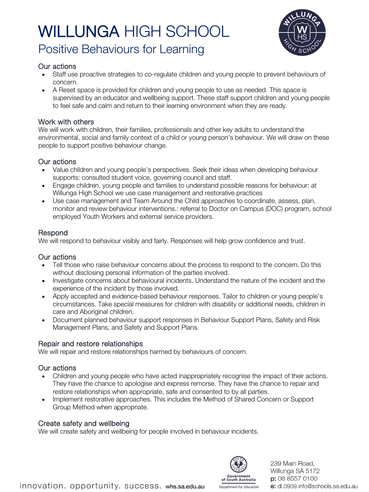# Positive Behaviours for Learning



# Our actions

- Staff use proactive strategies to co-regulate children and young people to prevent behaviours of concern.
- A Reset space is provided for children and young people to use as needed. This space is supervised by an educator and wellbeing support. These staff support children and young people to feel safe and calm and return to their learning environment when they are ready.

# Work with others

We will work with children, their families, professionals and other key adults to understand the environmental, social and family context of a child or young person's behaviour. We will draw on these people to support positive behaviour change.

# Our actions

- Value children and young people's perspectives. Seek their ideas when developing behaviour supports: consulted student voice, governing council and staff.
- Engage children, young people and families to understand possible reasons for behaviour: at Willunga High School we use case management and restorative practices
- Use case management and Team Around the Child approaches to coordinate, assess, plan, monitor and review behaviour interventions.: referral to Doctor on Campus (DOC) program, school employed Youth Workers and external service providers.

# Respond

We will respond to behaviour visibly and fairly. Responses will help grow confidence and trust.

# Our actions

- Tell those who raise behaviour concerns about the process to respond to the concern. Do this without disclosing personal information of the parties involved.
- Investigate concerns about behavioural incidents. Understand the nature of the incident and the experience of the incident by those involved.
- Apply accepted and evidence-based behaviour responses. Tailor to children or young people's circumstances. Take special measures for children with disability or additional needs, children in care and Aboriginal children.
- Document planned behaviour support responses in Behaviour Support Plans, Safety and Risk Management Plans, and Safety and Support Plans.

# Repair and restore relationships

We will repair and restore relationships harmed by behaviours of concern.

# Our actions

- Children and young people who have acted inappropriately recognise the impact of their actions. They have the chance to apologise and express remorse. They have the chance to repair and restore relationships when appropriate, safe and consented to by all parties.
- Implement restorative approaches. This includes the Method of Shared Concern or Support Group Method when appropriate.

# Create safety and wellbeing

We will create safety and wellbeing for people involved in behaviour incidents.



239 Main Road. Willunga SA 5172 p: 08 8557 0100 e: dl.0909.info@schools.sa.edu.au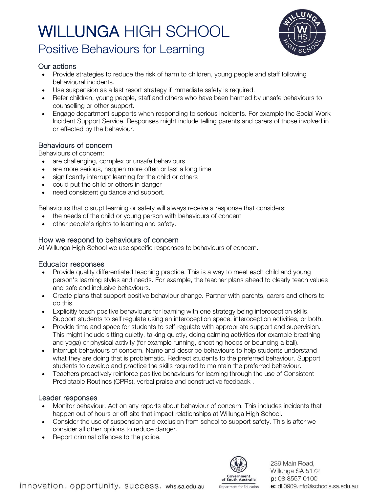

# Positive Behaviours for Learning

# Our actions

- Provide strategies to reduce the risk of harm to children, young people and staff following behavioural incidents.
- Use suspension as a last resort strategy if immediate safety is required.
- Refer children, young people, staff and others who have been harmed by unsafe behaviours to counselling or other support.
- Engage department supports when responding to serious incidents. For example the Social Work Incident Support Service. Responses might include telling parents and carers of those involved in or effected by the behaviour.

# Behaviours of concern

Behaviours of concern:

- are challenging, complex or unsafe behaviours
- are more serious, happen more often or last a long time
- significantly interrupt learning for the child or others
- could put the child or others in danger
- need consistent guidance and support.

Behaviours that disrupt learning or safety will always receive a response that considers:

- the needs of the child or young person with behaviours of concern
- other people's rights to learning and safety.

# How we respond to behaviours of concern

At Willunga High School we use specific responses to behaviours of concern.

# Educator responses

- Provide quality differentiated teaching practice. This is a way to meet each child and young person's learning styles and needs. For example, the teacher plans ahead to clearly teach values and safe and inclusive behaviours.
- Create plans that support positive behaviour change. Partner with parents, carers and others to do this.
- Explicitly teach positive behaviours for learning with one strategy being interoception skills. Support students to self regulate using an interoception space, interoception activities, or both.
- Provide time and space for students to self-regulate with appropriate support and supervision. This might include sitting quietly, talking quietly, doing calming activities (for example breathing and yoga) or physical activity (for example running, shooting hoops or bouncing a ball).
- Interrupt behaviours of concern. Name and describe behaviours to help students understand what they are doing that is problematic. Redirect students to the preferred behaviour. Support students to develop and practice the skills required to maintain the preferred behaviour.
- Teachers proactively reinforce positive behaviours for learning through the use of Consistent Predictable Routines (CPRs), verbal praise and constructive feedback .

# Leader responses

- Monitor behaviour. Act on any reports about behaviour of concern. This includes incidents that happen out of hours or off-site that impact relationships at Willunga High School.
- Consider the use of suspension and exclusion from school to support safety. This is after we consider all other options to reduce danger.
- Report criminal offences to the police.



239 Main Road. Willunga SA 5172 p: 08 8557 0100 e: dl.0909.info@schools.sa.edu.au